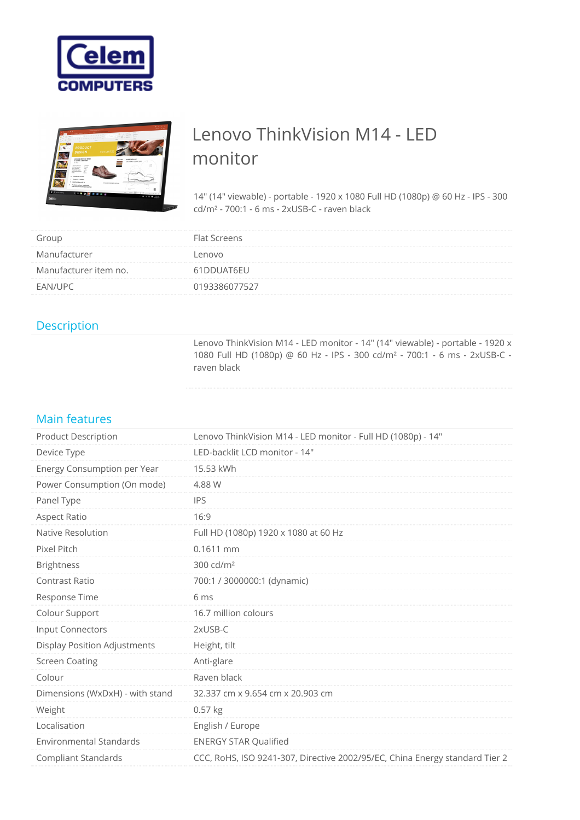



## Lenovo ThinkVision M14 - LED monitor

14" (14" viewable) - portable - 1920 x 1080 Full HD (1080p) @ 60 Hz - IPS - 300 cd/m² - 700:1 - 6 ms - 2xUSB-C - raven black

| Group                 | Flat Screens  |
|-----------------------|---------------|
| Manufacturer          | Lenovo        |
| Manufacturer item no. | 61DDUAT6EU    |
| EAN/UPC               | 0193386077527 |

## Description

Lenovo ThinkVision M14 - LED monitor - 14" (14" viewable) - portable - 1920 x 1080 Full HD (1080p) @ 60 Hz - IPS - 300 cd/m² - 700:1 - 6 ms - 2xUSB-C raven black

## Main features

| <b>Product Description</b>      | Lenovo ThinkVision M14 - LED monitor - Full HD (1080p) - 14"                |
|---------------------------------|-----------------------------------------------------------------------------|
| Device Type                     | LED-backlit LCD monitor - 14"                                               |
| Energy Consumption per Year     | 15.53 kWh                                                                   |
| Power Consumption (On mode)     | 4.88 W                                                                      |
| Panel Type                      | <b>IPS</b>                                                                  |
| Aspect Ratio                    | 16:9                                                                        |
| Native Resolution               | Full HD (1080p) 1920 x 1080 at 60 Hz                                        |
| Pixel Pitch                     | 0.1611 mm                                                                   |
| <b>Brightness</b>               | 300 cd/m <sup>2</sup>                                                       |
| Contrast Ratio                  | 700:1 / 3000000:1 (dynamic)                                                 |
| Response Time                   | 6 ms                                                                        |
| Colour Support                  | 16.7 million colours                                                        |
| Input Connectors                | 2xUSB-C                                                                     |
| Display Position Adjustments    | Height, tilt                                                                |
| <b>Screen Coating</b>           | Anti-glare                                                                  |
| Colour                          | Raven black                                                                 |
| Dimensions (WxDxH) - with stand | 32.337 cm x 9.654 cm x 20.903 cm                                            |
| Weight                          | $0.57$ kg                                                                   |
| Localisation                    | English / Europe                                                            |
| <b>Environmental Standards</b>  | <b>ENERGY STAR Qualified</b>                                                |
| <b>Compliant Standards</b>      | CCC, RoHS, ISO 9241-307, Directive 2002/95/EC, China Energy standard Tier 2 |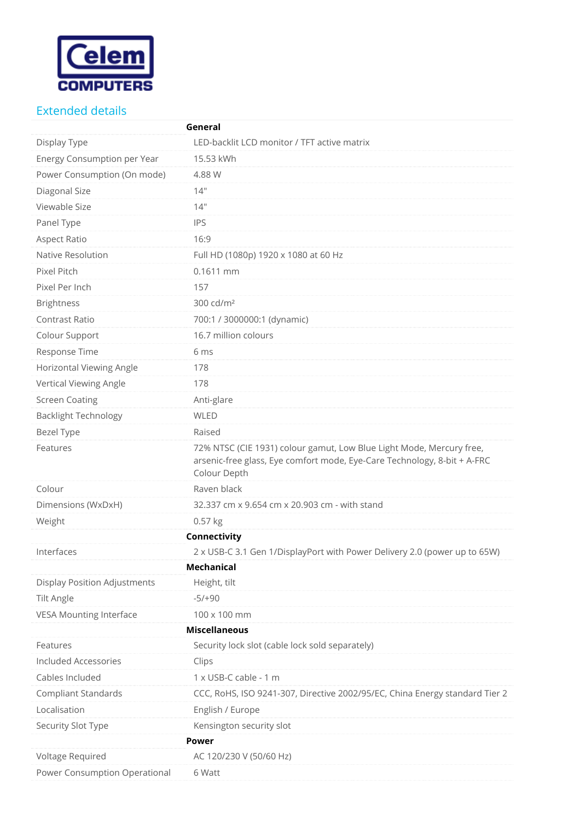

## Extended details

|                                     | General                                                                                                                                                          |
|-------------------------------------|------------------------------------------------------------------------------------------------------------------------------------------------------------------|
| Display Type                        | LED-backlit LCD monitor / TFT active matrix                                                                                                                      |
| Energy Consumption per Year         | 15.53 kWh                                                                                                                                                        |
| Power Consumption (On mode)         | 4.88 W                                                                                                                                                           |
| Diagonal Size                       | 14"                                                                                                                                                              |
| Viewable Size                       | 14"                                                                                                                                                              |
| Panel Type                          | <b>IPS</b>                                                                                                                                                       |
| Aspect Ratio                        | 16:9                                                                                                                                                             |
| Native Resolution                   | Full HD (1080p) 1920 x 1080 at 60 Hz                                                                                                                             |
| Pixel Pitch                         | 0.1611 mm                                                                                                                                                        |
| Pixel Per Inch                      | 157                                                                                                                                                              |
| <b>Brightness</b>                   | 300 cd/m <sup>2</sup>                                                                                                                                            |
| <b>Contrast Ratio</b>               | 700:1 / 3000000:1 (dynamic)                                                                                                                                      |
| Colour Support                      | 16.7 million colours                                                                                                                                             |
| Response Time                       | 6 ms                                                                                                                                                             |
| Horizontal Viewing Angle            | 178                                                                                                                                                              |
| Vertical Viewing Angle              | 178                                                                                                                                                              |
| <b>Screen Coating</b>               | Anti-glare                                                                                                                                                       |
| <b>Backlight Technology</b>         | <b>WLED</b>                                                                                                                                                      |
| Bezel Type                          | Raised                                                                                                                                                           |
| Features                            | 72% NTSC (CIE 1931) colour gamut, Low Blue Light Mode, Mercury free,<br>arsenic-free glass, Eye comfort mode, Eye-Care Technology, 8-bit + A-FRC<br>Colour Depth |
| Colour                              | Raven black                                                                                                                                                      |
| Dimensions (WxDxH)                  | 32.337 cm x 9.654 cm x 20.903 cm - with stand                                                                                                                    |
| Weight                              | 0.57 kg                                                                                                                                                          |
|                                     | Connectivity                                                                                                                                                     |
| Interfaces                          | 2 x USB-C 3.1 Gen 1/DisplayPort with Power Delivery 2.0 (power up to 65W)                                                                                        |
|                                     | <b>Mechanical</b>                                                                                                                                                |
| <b>Display Position Adjustments</b> | Height, tilt                                                                                                                                                     |
| <b>Tilt Angle</b>                   | $-5/+90$                                                                                                                                                         |
| <b>VESA Mounting Interface</b>      | 100 x 100 mm                                                                                                                                                     |
|                                     | <b>Miscellaneous</b>                                                                                                                                             |
| Features                            | Security lock slot (cable lock sold separately)                                                                                                                  |
| <b>Included Accessories</b>         | Clips                                                                                                                                                            |
| Cables Included                     | 1 x USB-C cable - 1 m                                                                                                                                            |
| <b>Compliant Standards</b>          | CCC, RoHS, ISO 9241-307, Directive 2002/95/EC, China Energy standard Tier 2                                                                                      |
| Localisation                        | English / Europe                                                                                                                                                 |
| Security Slot Type                  | Kensington security slot                                                                                                                                         |
|                                     | Power                                                                                                                                                            |
| Voltage Required                    | AC 120/230 V (50/60 Hz)                                                                                                                                          |
| Power Consumption Operational       | 6 Watt                                                                                                                                                           |